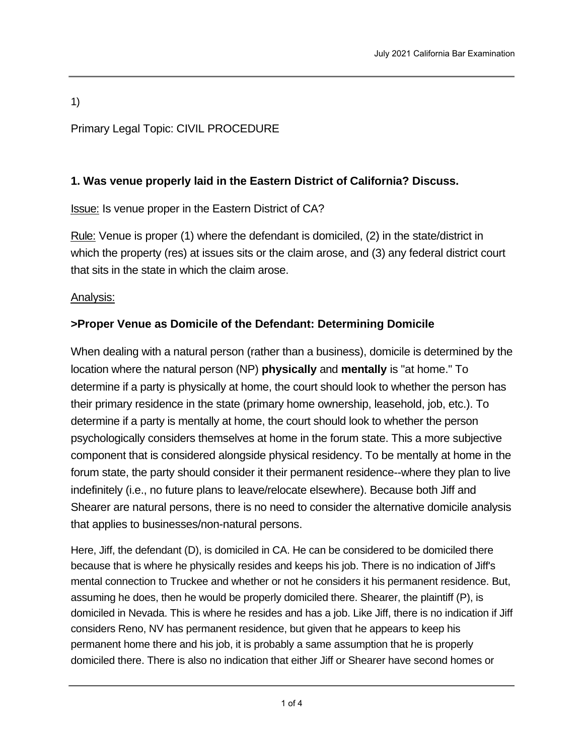1)

## Primary Legal Topic: CIVIL PROCEDURE

### **1. Was venue properly laid in the Eastern District of California? Discuss.**

**Issue: Is venue proper in the Eastern District of CA?** 

Rule: Venue is proper (1) where the defendant is domiciled, (2) in the state/district in which the property (res) at issues sits or the claim arose, and (3) any federal district court that sits in the state in which the claim arose.

### Analysis:

## **>Proper Venue as Domicile of the Defendant: Determining Domicile**

When dealing with a natural person (rather than a business), domicile is determined by the location where the natural person (NP) **physically** and **mentally** is "at home." To determine if a party is physically at home, the court should look to whether the person has their primary residence in the state (primary home ownership, leasehold, job, etc.). To determine if a party is mentally at home, the court should look to whether the person psychologically considers themselves at home in the forum state. This a more subjective component that is considered alongside physical residency. To be mentally at home in the forum state, the party should consider it their permanent residence--where they plan to live indefinitely (i.e., no future plans to leave/relocate elsewhere). Because both Jiff and Shearer are natural persons, there is no need to consider the alternative domicile analysis that applies to businesses/non-natural persons.

Here, Jiff, the defendant (D), is domiciled in CA. He can be considered to be domiciled there because that is where he physically resides and keeps his job. There is no indication of Jiff's mental connection to Truckee and whether or not he considers it his permanent residence. But, assuming he does, then he would be properly domiciled there. Shearer, the plaintiff (P), is domiciled in Nevada. This is where he resides and has a job. Like Jiff, there is no indication if Jiff considers Reno, NV has permanent residence, but given that he appears to keep his permanent home there and his job, it is probably a same assumption that he is properly domiciled there. There is also no indication that either Jiff or Shearer have second homes or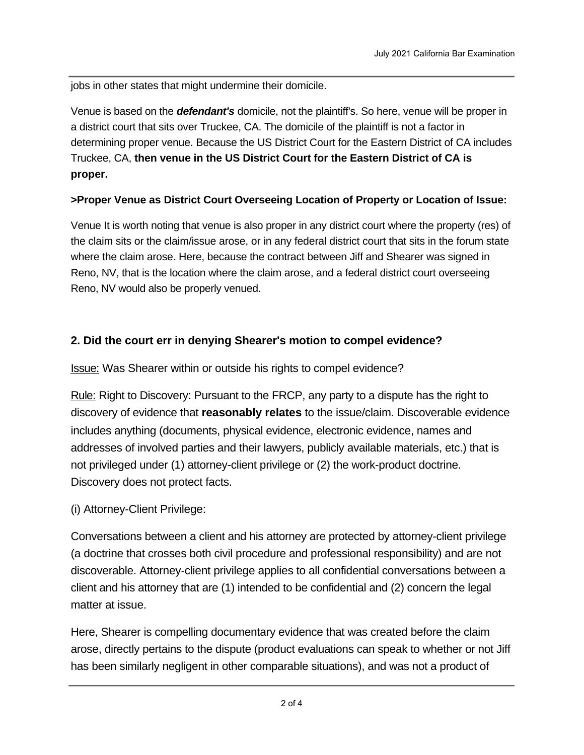jobs in other states that might undermine their domicile.

Venue is based on the *defendant's* domicile, not the plaintiff's. So here, venue will be proper in a district court that sits over Truckee, CA. The domicile of the plaintiff is not a factor in determining proper venue. Because the US District Court for the Eastern District of CA includes Truckee, CA, **then venue in the US District Court for the Eastern District of CA is proper.**

#### **>Proper Venue as District Court Overseeing Location of Property or Location of Issue:**

Venue It is worth noting that venue is also proper in any district court where the property (res) of the claim sits or the claim/issue arose, or in any federal district court that sits in the forum state where the claim arose. Here, because the contract between Jiff and Shearer was signed in Reno, NV, that is the location where the claim arose, and a federal district court overseeing Reno, NV would also be properly venued.

### **2. Did the court err in denying Shearer's motion to compel evidence?**

Issue: Was Shearer within or outside his rights to compel evidence?

Rule: Right to Discovery: Pursuant to the FRCP, any party to a dispute has the right to discovery of evidence that **reasonably relates** to the issue/claim. Discoverable evidence includes anything (documents, physical evidence, electronic evidence, names and addresses of involved parties and their lawyers, publicly available materials, etc.) that is not privileged under (1) attorney-client privilege or (2) the work-product doctrine. Discovery does not protect facts.

(i) Attorney-Client Privilege:

Conversations between a client and his attorney are protected by attorney-client privilege (a doctrine that crosses both civil procedure and professional responsibility) and are not discoverable. Attorney-client privilege applies to all confidential conversations between a client and his attorney that are (1) intended to be confidential and (2) concern the legal matter at issue.

Here, Shearer is compelling documentary evidence that was created before the claim arose, directly pertains to the dispute (product evaluations can speak to whether or not Jiff has been similarly negligent in other comparable situations), and was not a product of

conversations between the client and his attorney or created by the attorney in furtherance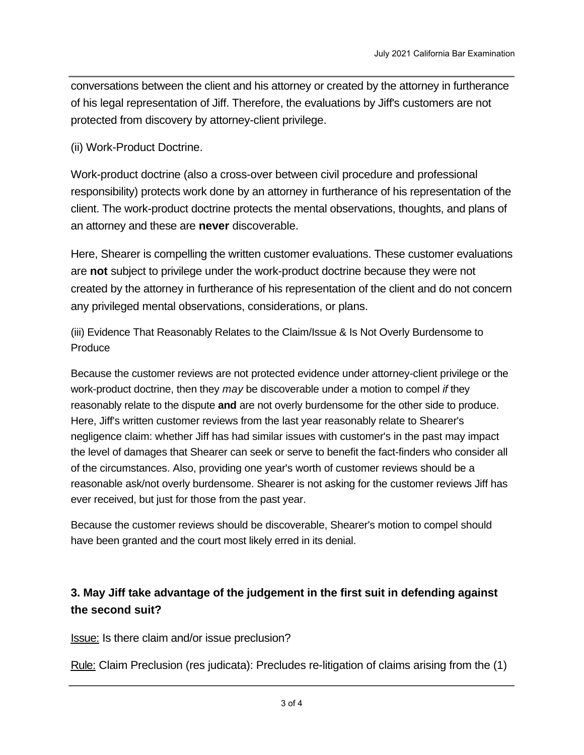conversations between the client and his attorney or created by the attorney in furtherance of his legal representation of Jiff. Therefore, the evaluations by Jiff's customers are not protected from discovery by attorney-client privilege.

(ii) Work-Product Doctrine.

Work-product doctrine (also a cross-over between civil procedure and professional responsibility) protects work done by an attorney in furtherance of his representation of the client. The work-product doctrine protects the mental observations, thoughts, and plans of an attorney and these are **never** discoverable.

Here, Shearer is compelling the written customer evaluations. These customer evaluations are **not** subject to privilege under the work-product doctrine because they were not created by the attorney in furtherance of his representation of the client and do not concern any privileged mental observations, considerations, or plans.

(iii) Evidence That Reasonably Relates to the Claim/Issue & Is Not Overly Burdensome to Produce

Because the customer reviews are not protected evidence under attorney-client privilege or the work-product doctrine, then they *may* be discoverable under a motion to compel *if* they reasonably relate to the dispute **and** are not overly burdensome for the other side to produce. Here, Jiff's written customer reviews from the last year reasonably relate to Shearer's negligence claim: whether Jiff has had similar issues with customer's in the past may impact the level of damages that Shearer can seek or serve to benefit the fact-finders who consider all of the circumstances. Also, providing one year's worth of customer reviews should be a reasonable ask/not overly burdensome. Shearer is not asking for the customer reviews Jiff has ever received, but just for those from the past year.

Because the customer reviews should be discoverable, Shearer's motion to compel should have been granted and the court most likely erred in its denial.

# **3. May Jiff take advantage of the judgement in the first suit in defending against the second suit?**

**Issue:** Is there claim and/or issue preclusion?

Rule: Claim Preclusion (res judicata): Precludes re-litigation of claims arising from the (1)

same parties, (2) same issue, (3) proper jurisdiction, (4) finality on the merits. Claim